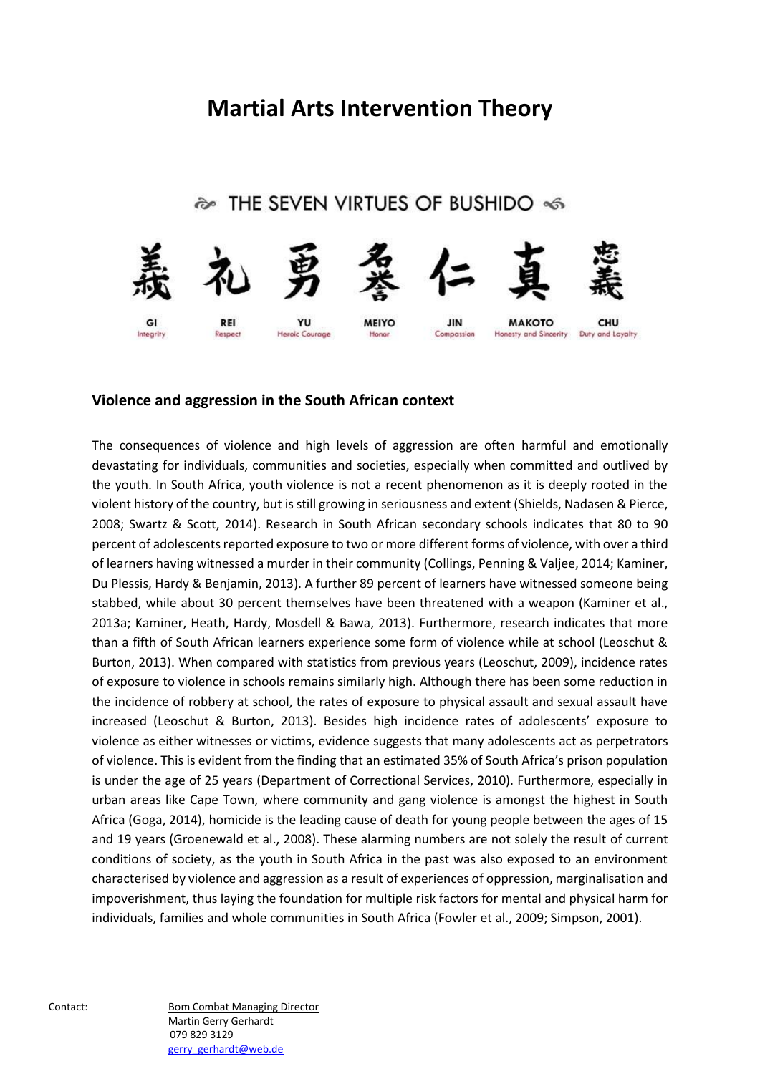# **Martial Arts Intervention Theory**

# � THE SEVEN VIRTUES OF BUSHIDO <6



### **Violence and aggression in the South African context**

The consequences of violence and high levels of aggression are often harmful and emotionally devastating for individuals, communities and societies, especially when committed and outlived by the youth. In South Africa, youth violence is not a recent phenomenon as it is deeply rooted in the violent history of the country, but is still growing in seriousness and extent (Shields, Nadasen & Pierce, 2008; Swartz & Scott, 2014). Research in South African secondary schools indicates that 80 to 90 percent of adolescents reported exposure to two or more different forms of violence, with over a third of learners having witnessed a murder in their community (Collings, Penning & Valjee, 2014; Kaminer, Du Plessis, Hardy & Benjamin, 2013). A further 89 percent of learners have witnessed someone being stabbed, while about 30 percent themselves have been threatened with a weapon (Kaminer et al., 2013a; Kaminer, Heath, Hardy, Mosdell & Bawa, 2013). Furthermore, research indicates that more than a fifth of South African learners experience some form of violence while at school (Leoschut & Burton, 2013). When compared with statistics from previous years (Leoschut, 2009), incidence rates of exposure to violence in schools remains similarly high. Although there has been some reduction in the incidence of robbery at school, the rates of exposure to physical assault and sexual assault have increased (Leoschut & Burton, 2013). Besides high incidence rates of adolescents' exposure to violence as either witnesses or victims, evidence suggests that many adolescents act as perpetrators of violence. This is evident from the finding that an estimated 35% of South Africa's prison population is under the age of 25 years (Department of Correctional Services, 2010). Furthermore, especially in urban areas like Cape Town, where community and gang violence is amongst the highest in South Africa (Goga, 2014), homicide is the leading cause of death for young people between the ages of 15 and 19 years (Groenewald et al., 2008). These alarming numbers are not solely the result of current conditions of society, as the youth in South Africa in the past was also exposed to an environment characterised by violence and aggression as a result of experiences of oppression, marginalisation and impoverishment, thus laying the foundation for multiple risk factors for mental and physical harm for individuals, families and whole communities in South Africa (Fowler et al., 2009; Simpson, 2001).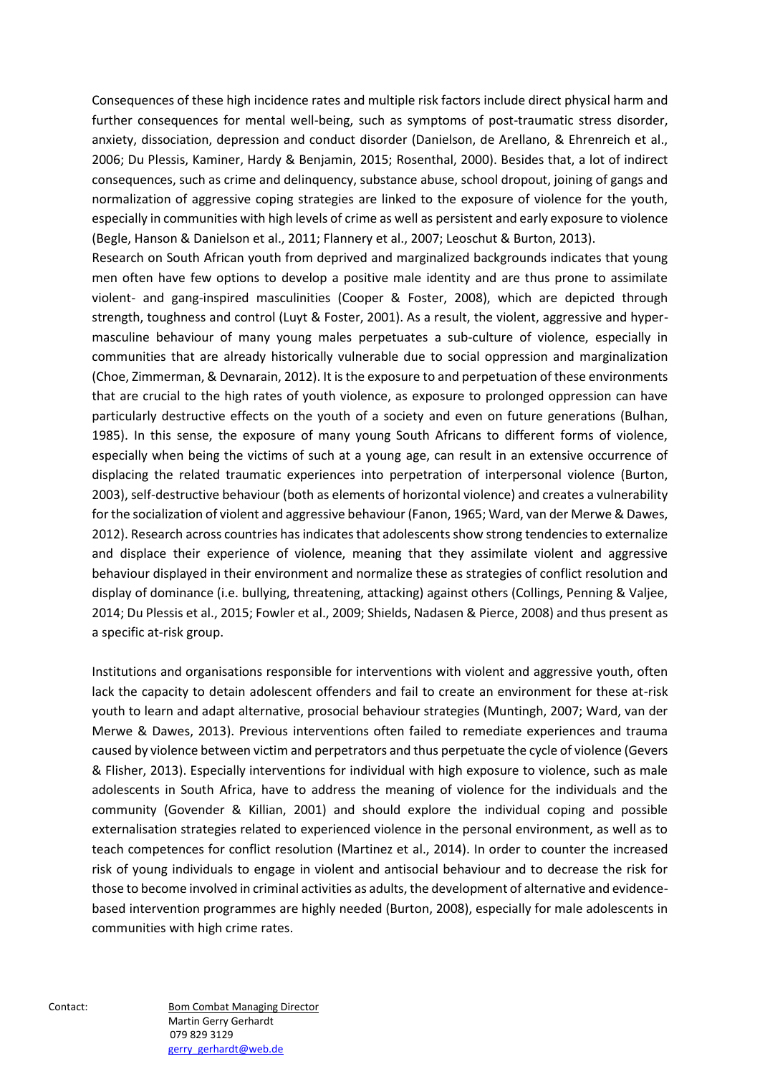Consequences of these high incidence rates and multiple risk factors include direct physical harm and further consequences for mental well-being, such as symptoms of post-traumatic stress disorder, anxiety, dissociation, depression and conduct disorder (Danielson, de Arellano, & Ehrenreich et al., 2006; Du Plessis, Kaminer, Hardy & Benjamin, 2015; Rosenthal, 2000). Besides that, a lot of indirect consequences, such as crime and delinquency, substance abuse, school dropout, joining of gangs and normalization of aggressive coping strategies are linked to the exposure of violence for the youth, especially in communities with high levels of crime as well as persistent and early exposure to violence (Begle, Hanson & Danielson et al., 2011; Flannery et al., 2007; Leoschut & Burton, 2013).

Research on South African youth from deprived and marginalized backgrounds indicates that young men often have few options to develop a positive male identity and are thus prone to assimilate violent- and gang-inspired masculinities (Cooper & Foster, 2008), which are depicted through strength, toughness and control (Luyt & Foster, 2001). As a result, the violent, aggressive and hypermasculine behaviour of many young males perpetuates a sub-culture of violence, especially in communities that are already historically vulnerable due to social oppression and marginalization (Choe, Zimmerman, & Devnarain, 2012). It is the exposure to and perpetuation of these environments that are crucial to the high rates of youth violence, as exposure to prolonged oppression can have particularly destructive effects on the youth of a society and even on future generations (Bulhan, 1985). In this sense, the exposure of many young South Africans to different forms of violence, especially when being the victims of such at a young age, can result in an extensive occurrence of displacing the related traumatic experiences into perpetration of interpersonal violence (Burton, 2003), self-destructive behaviour (both as elements of horizontal violence) and creates a vulnerability for the socialization of violent and aggressive behaviour (Fanon, 1965; Ward, van der Merwe & Dawes, 2012). Research across countries has indicates that adolescents show strong tendencies to externalize and displace their experience of violence, meaning that they assimilate violent and aggressive behaviour displayed in their environment and normalize these as strategies of conflict resolution and display of dominance (i.e. bullying, threatening, attacking) against others (Collings, Penning & Valjee, 2014; Du Plessis et al., 2015; Fowler et al., 2009; Shields, Nadasen & Pierce, 2008) and thus present as a specific at-risk group.

Institutions and organisations responsible for interventions with violent and aggressive youth, often lack the capacity to detain adolescent offenders and fail to create an environment for these at-risk youth to learn and adapt alternative, prosocial behaviour strategies (Muntingh, 2007; Ward, van der Merwe & Dawes, 2013). Previous interventions often failed to remediate experiences and trauma caused by violence between victim and perpetrators and thus perpetuate the cycle of violence (Gevers & Flisher, 2013). Especially interventions for individual with high exposure to violence, such as male adolescents in South Africa, have to address the meaning of violence for the individuals and the community (Govender & Killian, 2001) and should explore the individual coping and possible externalisation strategies related to experienced violence in the personal environment, as well as to teach competences for conflict resolution (Martinez et al., 2014). In order to counter the increased risk of young individuals to engage in violent and antisocial behaviour and to decrease the risk for those to become involved in criminal activities as adults, the development of alternative and evidencebased intervention programmes are highly needed (Burton, 2008), especially for male adolescents in communities with high crime rates.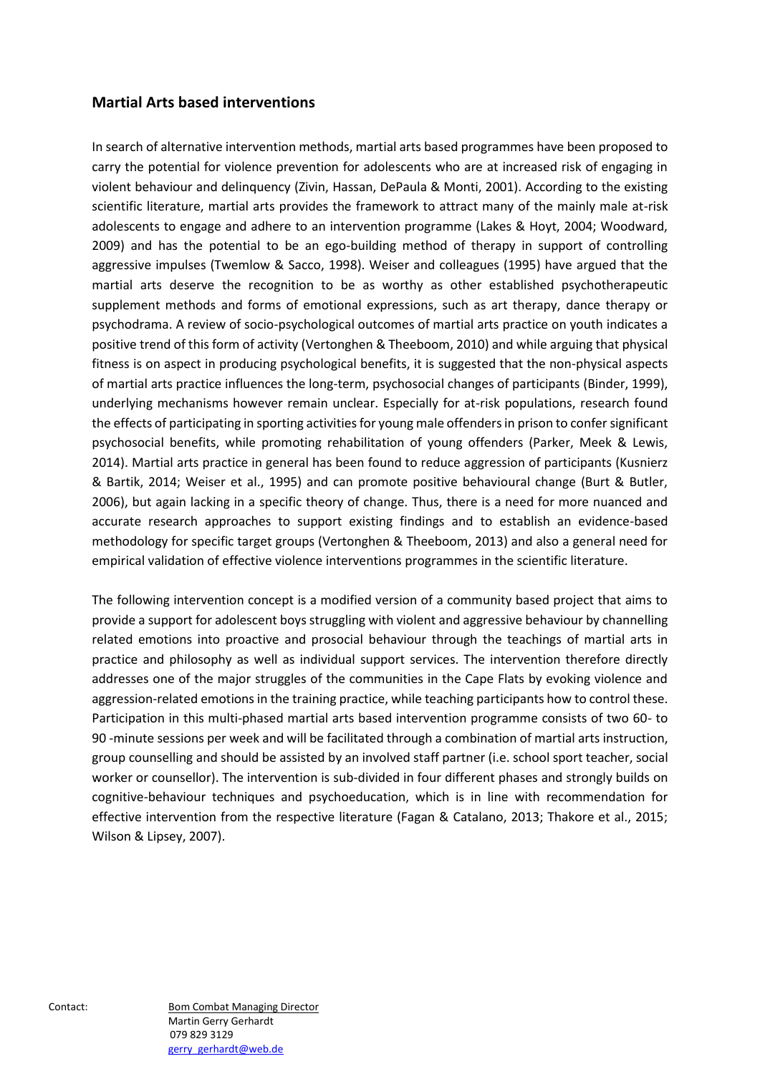#### **Martial Arts based interventions**

In search of alternative intervention methods, martial arts based programmes have been proposed to carry the potential for violence prevention for adolescents who are at increased risk of engaging in violent behaviour and delinquency (Zivin, Hassan, DePaula & Monti, 2001). According to the existing scientific literature, martial arts provides the framework to attract many of the mainly male at-risk adolescents to engage and adhere to an intervention programme (Lakes & Hoyt, 2004; Woodward, 2009) and has the potential to be an ego-building method of therapy in support of controlling aggressive impulses (Twemlow & Sacco, 1998). Weiser and colleagues (1995) have argued that the martial arts deserve the recognition to be as worthy as other established psychotherapeutic supplement methods and forms of emotional expressions, such as art therapy, dance therapy or psychodrama. A review of socio-psychological outcomes of martial arts practice on youth indicates a positive trend of this form of activity (Vertonghen & Theeboom, 2010) and while arguing that physical fitness is on aspect in producing psychological benefits, it is suggested that the non-physical aspects of martial arts practice influences the long-term, psychosocial changes of participants (Binder, 1999), underlying mechanisms however remain unclear. Especially for at-risk populations, research found the effects of participating in sporting activities for young male offenders in prison to confer significant psychosocial benefits, while promoting rehabilitation of young offenders (Parker, Meek & Lewis, 2014). Martial arts practice in general has been found to reduce aggression of participants (Kusnierz & Bartik, 2014; Weiser et al., 1995) and can promote positive behavioural change (Burt & Butler, 2006), but again lacking in a specific theory of change. Thus, there is a need for more nuanced and accurate research approaches to support existing findings and to establish an evidence-based methodology for specific target groups (Vertonghen & Theeboom, 2013) and also a general need for empirical validation of effective violence interventions programmes in the scientific literature.

The following intervention concept is a modified version of a community based project that aims to provide a support for adolescent boys struggling with violent and aggressive behaviour by channelling related emotions into proactive and prosocial behaviour through the teachings of martial arts in practice and philosophy as well as individual support services. The intervention therefore directly addresses one of the major struggles of the communities in the Cape Flats by evoking violence and aggression-related emotions in the training practice, while teaching participants how to control these. Participation in this multi-phased martial arts based intervention programme consists of two 60- to 90 -minute sessions per week and will be facilitated through a combination of martial arts instruction, group counselling and should be assisted by an involved staff partner (i.e. school sport teacher, social worker or counsellor). The intervention is sub-divided in four different phases and strongly builds on cognitive-behaviour techniques and psychoeducation, which is in line with recommendation for effective intervention from the respective literature (Fagan & Catalano, 2013; Thakore et al., 2015; Wilson & Lipsey, 2007).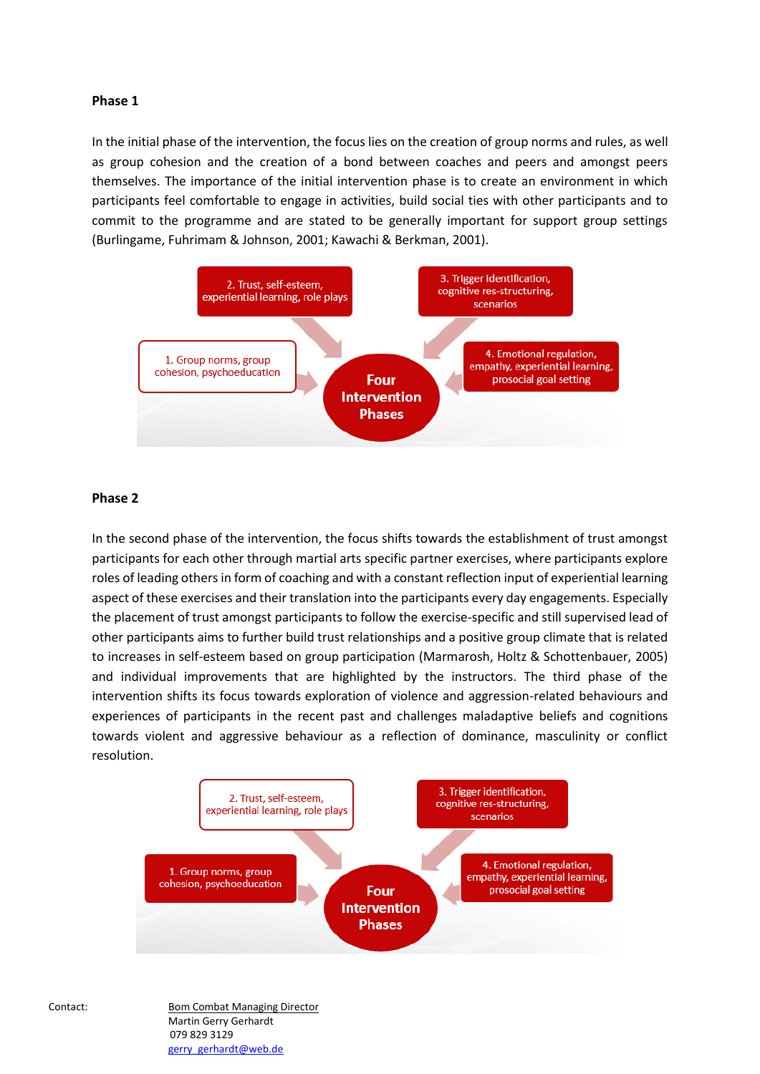#### **Phase 1**

In the initial phase of the intervention, the focus lies on the creation of group norms and rules, as well as group cohesion and the creation of a bond between coaches and peers and amongst peers themselves. The importance of the initial intervention phase is to create an environment in which participants feel comfortable to engage in activities, build social ties with other participants and to commit to the programme and are stated to be generally important for support group settings (Burlingame, Fuhrimam & Johnson, 2001; Kawachi & Berkman, 2001).



#### **Phase 2**

In the second phase of the intervention, the focus shifts towards the establishment of trust amongst participants for each other through martial arts specific partner exercises, where participants explore roles of leading others in form of coaching and with a constant reflection input of experiential learning aspect of these exercises and their translation into the participants every day engagements. Especially the placement of trust amongst participants to follow the exercise-specific and still supervised lead of other participants aims to further build trust relationships and a positive group climate that is related to increases in self-esteem based on group participation (Marmarosh, Holtz & Schottenbauer, 2005) and individual improvements that are highlighted by the instructors. The third phase of the intervention shifts its focus towards exploration of violence and aggression-related behaviours and experiences of participants in the recent past and challenges maladaptive beliefs and cognitions towards violent and aggressive behaviour as a reflection of dominance, masculinity or conflict resolution.

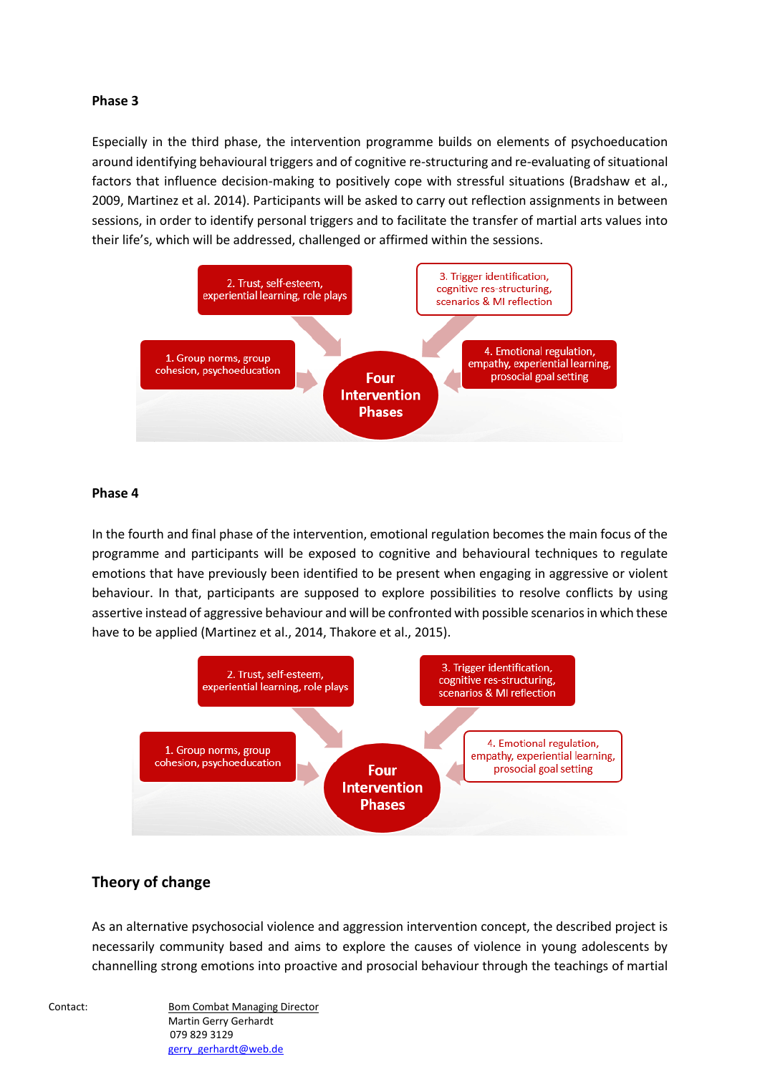#### **Phase 3**

Especially in the third phase, the intervention programme builds on elements of psychoeducation around identifying behavioural triggers and of cognitive re-structuring and re-evaluating of situational factors that influence decision-making to positively cope with stressful situations (Bradshaw et al., 2009, Martinez et al. 2014). Participants will be asked to carry out reflection assignments in between sessions, in order to identify personal triggers and to facilitate the transfer of martial arts values into their life's, which will be addressed, challenged or affirmed within the sessions.



#### **Phase 4**

In the fourth and final phase of the intervention, emotional regulation becomes the main focus of the programme and participants will be exposed to cognitive and behavioural techniques to regulate emotions that have previously been identified to be present when engaging in aggressive or violent behaviour. In that, participants are supposed to explore possibilities to resolve conflicts by using assertive instead of aggressive behaviour and will be confronted with possible scenarios in which these have to be applied (Martinez et al., 2014, Thakore et al., 2015).



## **Theory of change**

As an alternative psychosocial violence and aggression intervention concept, the described project is necessarily community based and aims to explore the causes of violence in young adolescents by channelling strong emotions into proactive and prosocial behaviour through the teachings of martial